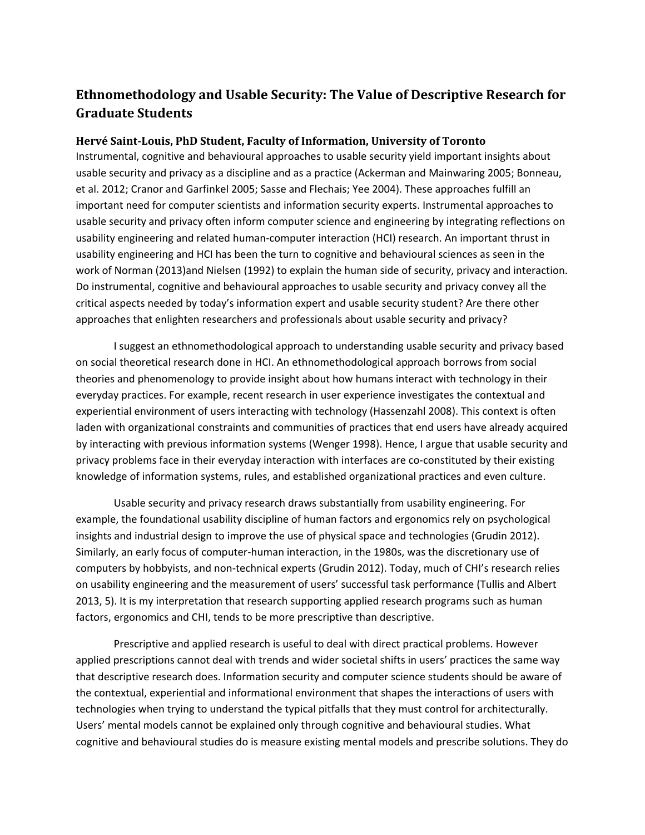## **Ethnomethodology and Usable Security: The Value of Descriptive Research for Graduate Students**

## **Hervé Saint-Louis, PhD Student, Faculty of Information, University of Toronto**

Instrumental, cognitive and behavioural approaches to usable security yield important insights about usable security and privacy as a discipline and as a practice (Ackerman and Mainwaring 2005; Bonneau, et al. 2012; Cranor and Garfinkel 2005; Sasse and Flechais; Yee 2004). These approaches fulfill an important need for computer scientists and information security experts. Instrumental approaches to usable security and privacy often inform computer science and engineering by integrating reflections on usability engineering and related human-computer interaction (HCI) research. An important thrust in usability engineering and HCI has been the turn to cognitive and behavioural sciences as seen in the work of Norman (2013)and Nielsen (1992) to explain the human side of security, privacy and interaction. Do instrumental, cognitive and behavioural approaches to usable security and privacy convey all the critical aspects needed by today's information expert and usable security student? Are there other approaches that enlighten researchers and professionals about usable security and privacy?

I suggest an ethnomethodological approach to understanding usable security and privacy based on social theoretical research done in HCI. An ethnomethodological approach borrows from social theories and phenomenology to provide insight about how humans interact with technology in their everyday practices. For example, recent research in user experience investigates the contextual and experiential environment of users interacting with technology (Hassenzahl 2008). This context is often laden with organizational constraints and communities of practices that end users have already acquired by interacting with previous information systems (Wenger 1998). Hence, I argue that usable security and privacy problems face in their everyday interaction with interfaces are co-constituted by their existing knowledge of information systems, rules, and established organizational practices and even culture.

Usable security and privacy research draws substantially from usability engineering. For example, the foundational usability discipline of human factors and ergonomics rely on psychological insights and industrial design to improve the use of physical space and technologies (Grudin 2012). Similarly, an early focus of computer-human interaction, in the 1980s, was the discretionary use of computers by hobbyists, and non-technical experts (Grudin 2012). Today, much of CHI's research relies on usability engineering and the measurement of users' successful task performance (Tullis and Albert 2013, 5). It is my interpretation that research supporting applied research programs such as human factors, ergonomics and CHI, tends to be more prescriptive than descriptive.

Prescriptive and applied research is useful to deal with direct practical problems. However applied prescriptions cannot deal with trends and wider societal shifts in users' practices the same way that descriptive research does. Information security and computer science students should be aware of the contextual, experiential and informational environment that shapes the interactions of users with technologies when trying to understand the typical pitfalls that they must control for architecturally. Users' mental models cannot be explained only through cognitive and behavioural studies. What cognitive and behavioural studies do is measure existing mental models and prescribe solutions. They do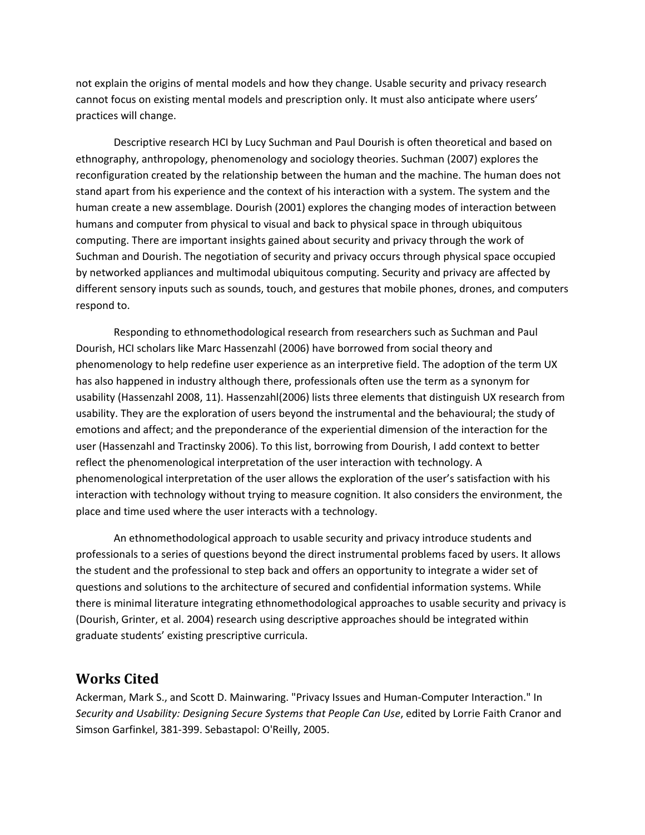not explain the origins of mental models and how they change. Usable security and privacy research cannot focus on existing mental models and prescription only. It must also anticipate where users' practices will change.

Descriptive research HCI by Lucy Suchman and Paul Dourish is often theoretical and based on ethnography, anthropology, phenomenology and sociology theories. Suchman (2007) explores the reconfiguration created by the relationship between the human and the machine. The human does not stand apart from his experience and the context of his interaction with a system. The system and the human create a new assemblage. Dourish (2001) explores the changing modes of interaction between humans and computer from physical to visual and back to physical space in through ubiquitous computing. There are important insights gained about security and privacy through the work of Suchman and Dourish. The negotiation of security and privacy occurs through physical space occupied by networked appliances and multimodal ubiquitous computing. Security and privacy are affected by different sensory inputs such as sounds, touch, and gestures that mobile phones, drones, and computers respond to.

Responding to ethnomethodological research from researchers such as Suchman and Paul Dourish, HCI scholars like Marc Hassenzahl (2006) have borrowed from social theory and phenomenology to help redefine user experience as an interpretive field. The adoption of the term UX has also happened in industry although there, professionals often use the term as a synonym for usability (Hassenzahl 2008, 11). Hassenzahl(2006) lists three elements that distinguish UX research from usability. They are the exploration of users beyond the instrumental and the behavioural; the study of emotions and affect; and the preponderance of the experiential dimension of the interaction for the user (Hassenzahl and Tractinsky 2006). To this list, borrowing from Dourish, I add context to better reflect the phenomenological interpretation of the user interaction with technology. A phenomenological interpretation of the user allows the exploration of the user's satisfaction with his interaction with technology without trying to measure cognition. It also considers the environment, the place and time used where the user interacts with a technology.

An ethnomethodological approach to usable security and privacy introduce students and professionals to a series of questions beyond the direct instrumental problems faced by users. It allows the student and the professional to step back and offers an opportunity to integrate a wider set of questions and solutions to the architecture of secured and confidential information systems. While there is minimal literature integrating ethnomethodological approaches to usable security and privacy is (Dourish, Grinter, et al. 2004) research using descriptive approaches should be integrated within graduate students' existing prescriptive curricula.

## **Works Cited**

Ackerman, Mark S., and Scott D. Mainwaring. "Privacy Issues and Human-Computer Interaction." In *Security and Usability: Designing Secure Systems that People Can Use*, edited by Lorrie Faith Cranor and Simson Garfinkel, 381-399. Sebastapol: O'Reilly, 2005.